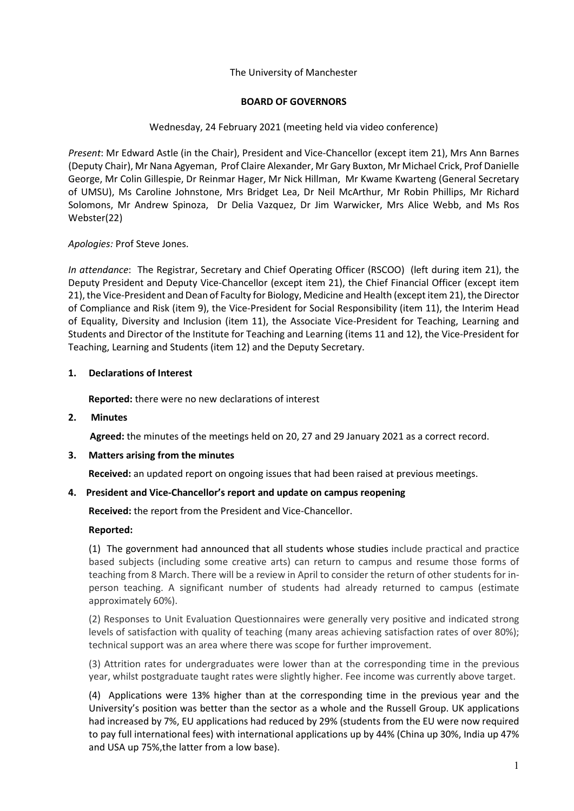## The University of Manchester

## **BOARD OF GOVERNORS**

## Wednesday, 24 February 2021 (meeting held via video conference)

*Present*: Mr Edward Astle (in the Chair), President and Vice-Chancellor (except item 21), Mrs Ann Barnes (Deputy Chair), Mr Nana Agyeman, Prof Claire Alexander, Mr Gary Buxton, Mr Michael Crick, Prof Danielle George, Mr Colin Gillespie, Dr Reinmar Hager, Mr Nick Hillman, Mr Kwame Kwarteng (General Secretary of UMSU), Ms Caroline Johnstone, Mrs Bridget Lea, Dr Neil McArthur, Mr Robin Phillips, Mr Richard Solomons, Mr Andrew Spinoza, Dr Delia Vazquez, Dr Jim Warwicker, Mrs Alice Webb, and Ms Ros Webster(22)

## *Apologies:* Prof Steve Jones.

*In attendance*: The Registrar, Secretary and Chief Operating Officer (RSCOO) (left during item 21), the Deputy President and Deputy Vice-Chancellor (except item 21), the Chief Financial Officer (except item 21), the Vice-President and Dean of Faculty for Biology, Medicine and Health (except item 21), the Director of Compliance and Risk (item 9), the Vice-President for Social Responsibility (item 11), the Interim Head of Equality, Diversity and Inclusion (item 11), the Associate Vice-President for Teaching, Learning and Students and Director of the Institute for Teaching and Learning (items 11 and 12), the Vice-President for Teaching, Learning and Students (item 12) and the Deputy Secretary.

## **1. Declarations of Interest**

**Reported:** there were no new declarations of interest

# **2. Minutes**

**Agreed:** the minutes of the meetings held on 20, 27 and 29 January 2021 as a correct record.

## **3. Matters arising from the minutes**

**Received:** an updated report on ongoing issues that had been raised at previous meetings.

# **4. President and Vice-Chancellor's report and update on campus reopening**

 **Received:** the report from the President and Vice-Chancellor.

## **Reported:**

(1) The government had announced that all students whose studies include practical and practice based subjects (including some creative arts) can return to campus and resume those forms of teaching from 8 March. There will be a review in April to consider the return of other students for inperson teaching. A significant number of students had already returned to campus (estimate approximately 60%).

(2) Responses to Unit Evaluation Questionnaires were generally very positive and indicated strong levels of satisfaction with quality of teaching (many areas achieving satisfaction rates of over 80%); technical support was an area where there was scope for further improvement.

(3) Attrition rates for undergraduates were lower than at the corresponding time in the previous year, whilst postgraduate taught rates were slightly higher. Fee income was currently above target.

(4) Applications were 13% higher than at the corresponding time in the previous year and the University's position was better than the sector as a whole and the Russell Group. UK applications had increased by 7%, EU applications had reduced by 29% (students from the EU were now required to pay full international fees) with international applications up by 44% (China up 30%, India up 47% and USA up 75%,the latter from a low base).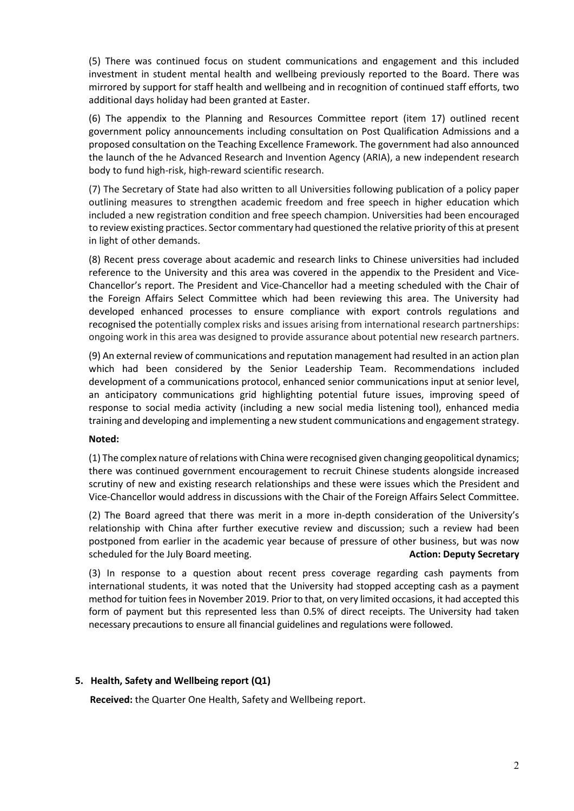(5) There was continued focus on student communications and engagement and this included investment in student mental health and wellbeing previously reported to the Board. There was mirrored by support for staff health and wellbeing and in recognition of continued staff efforts, two additional days holiday had been granted at Easter.

(6) The appendix to the Planning and Resources Committee report (item 17) outlined recent government policy announcements including consultation on Post Qualification Admissions and a proposed consultation on the Teaching Excellence Framework. The government had also announced the launch of the he Advanced Research and Invention Agency (ARIA), a new independent research body to fund high-risk, high-reward scientific research.

(7) The Secretary of State had also written to all Universities following publication of a policy paper outlining measures to strengthen academic freedom and free speech in higher education which included a new registration condition and free speech champion. Universities had been encouraged to review existing practices. Sector commentary had questioned the relative priority of this at present in light of other demands.

(8) Recent press coverage about academic and research links to Chinese universities had included reference to the University and this area was covered in the appendix to the President and Vice-Chancellor's report. The President and Vice-Chancellor had a meeting scheduled with the Chair of the Foreign Affairs Select Committee which had been reviewing this area. The University had developed enhanced processes to ensure compliance with export controls regulations and recognised the potentially complex risks and issues arising from international research partnerships: ongoing work in this area was designed to provide assurance about potential new research partners.

(9) An external review of communications and reputation management had resulted in an action plan which had been considered by the Senior Leadership Team. Recommendations included development of a communications protocol, enhanced senior communications input at senior level, an anticipatory communications grid highlighting potential future issues, improving speed of response to social media activity (including a new social media listening tool), enhanced media training and developing and implementing a new student communications and engagement strategy.

## **Noted:**

(1) The complex nature of relations with China were recognised given changing geopolitical dynamics; there was continued government encouragement to recruit Chinese students alongside increased scrutiny of new and existing research relationships and these were issues which the President and Vice-Chancellor would address in discussions with the Chair of the Foreign Affairs Select Committee.

(2) The Board agreed that there was merit in a more in-depth consideration of the University's relationship with China after further executive review and discussion; such a review had been postponed from earlier in the academic year because of pressure of other business, but was now scheduled for the July Board meeting. **Action: Deputy Secretary Action: Deputy Secretary** 

(3) In response to a question about recent press coverage regarding cash payments from international students, it was noted that the University had stopped accepting cash as a payment method for tuition fees in November 2019. Prior to that, on very limited occasions, it had accepted this form of payment but this represented less than 0.5% of direct receipts. The University had taken necessary precautions to ensure all financial guidelines and regulations were followed.

## **5. Health, Safety and Wellbeing report (Q1)**

 **Received:** the Quarter One Health, Safety and Wellbeing report.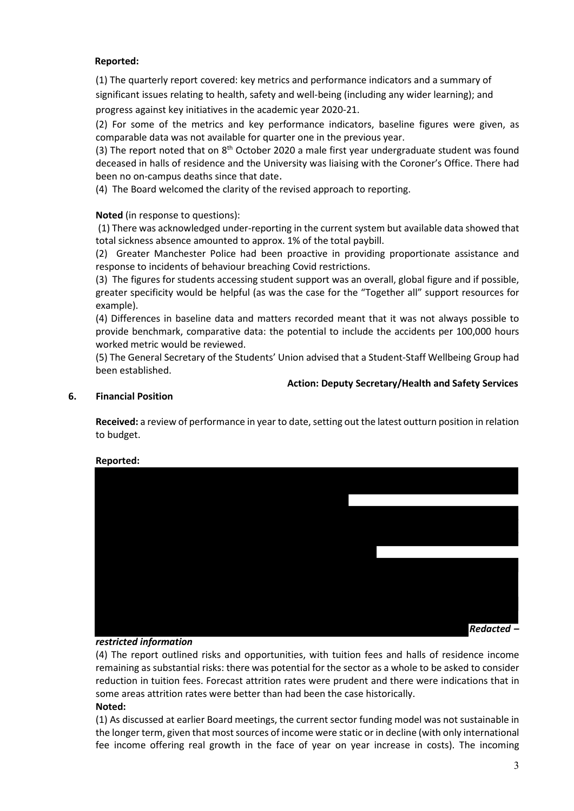# **Reported:**

(1) The quarterly report covered: key metrics and performance indicators and a summary of significant issues relating to health, safety and well-being (including any wider learning); and progress against key initiatives in the academic year 2020-21.

(2) For some of the metrics and key performance indicators, baseline figures were given, as comparable data was not available for quarter one in the previous year.

(3) The report noted that on  $8<sup>th</sup>$  October 2020 a male first year undergraduate student was found deceased in halls of residence and the University was liaising with the Coroner's Office. There had been no on-campus deaths since that date.

(4) The Board welcomed the clarity of the revised approach to reporting.

# **Noted** (in response to questions):

(1) There was acknowledged under-reporting in the current system but available data showed that total sickness absence amounted to approx. 1% of the total paybill.

(2) Greater Manchester Police had been proactive in providing proportionate assistance and response to incidents of behaviour breaching Covid restrictions.

(3) The figures for students accessing student support was an overall, global figure and if possible, greater specificity would be helpful (as was the case for the "Together all" support resources for example).

(4) Differences in baseline data and matters recorded meant that it was not always possible to provide benchmark, comparative data: the potential to include the accidents per 100,000 hours worked metric would be reviewed.

(5) The General Secretary of the Students' Union advised that a Student-Staff Wellbeing Group had been established.

## **Action: Deputy Secretary/Health and Safety Services**

## **6. Financial Position**

**Received:** a review of performance in year to date, setting out the latest outturn position in relation to budget.



## **Reported:**

## *restricted information*

(4) The report outlined risks and opportunities, with tuition fees and halls of residence income remaining as substantial risks: there was potential for the sector as a whole to be asked to consider reduction in tuition fees. Forecast attrition rates were prudent and there were indications that in some areas attrition rates were better than had been the case historically. **Noted:**

(1) As discussed at earlier Board meetings, the current sector funding model was not sustainable in the longer term, given that most sources of income were static or in decline (with only international fee income offering real growth in the face of year on year increase in costs). The incoming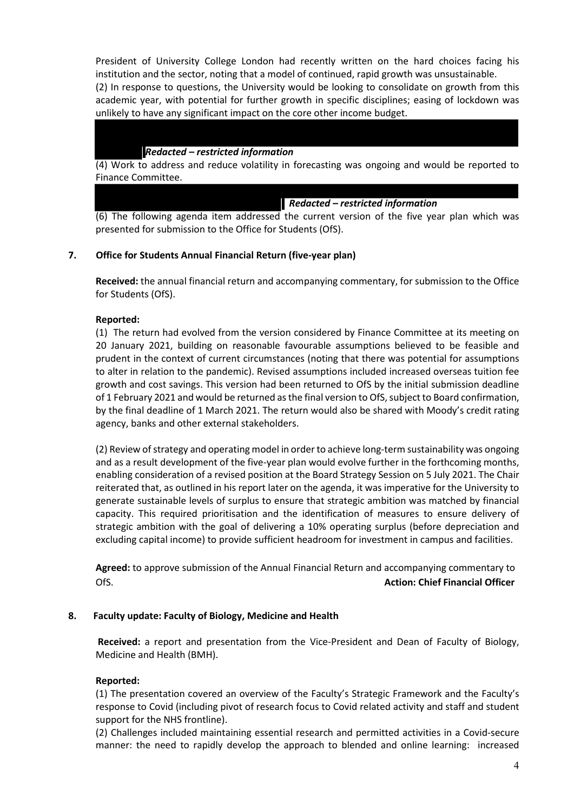President of University College London had recently written on the hard choices facing his institution and the sector, noting that a model of continued, rapid growth was unsustainable. (2) In response to questions, the University would be looking to consolidate on growth from this academic year, with potential for further growth in specific disciplines; easing of lockdown was unlikely to have any significant impact on the core other income budget.

## *Redacted – restricted information*

(4) Work to address and reduce volatility in forecasting was ongoing and would be reported to Finance Committee.

*Redacted – restricted information*

(6) The following agenda item addressed the current version of the five year plan which was presented for submission to the Office for Students (OfS).

# **7. Office for Students Annual Financial Return (five-year plan)**

**Received:** the annual financial return and accompanying commentary, for submission to the Office for Students (OfS).

## **Reported:**

(1) The return had evolved from the version considered by Finance Committee at its meeting on 20 January 2021, building on reasonable favourable assumptions believed to be feasible and prudent in the context of current circumstances (noting that there was potential for assumptions to alter in relation to the pandemic). Revised assumptions included increased overseas tuition fee growth and cost savings. This version had been returned to OfS by the initial submission deadline of 1 February 2021 and would be returned as the final version to OfS, subject to Board confirmation, by the final deadline of 1 March 2021. The return would also be shared with Moody's credit rating agency, banks and other external stakeholders.

(2) Review of strategy and operating model in order to achieve long-term sustainability was ongoing and as a result development of the five-year plan would evolve further in the forthcoming months, enabling consideration of a revised position at the Board Strategy Session on 5 July 2021. The Chair reiterated that, as outlined in his report later on the agenda, it was imperative for the University to generate sustainable levels of surplus to ensure that strategic ambition was matched by financial capacity. This required prioritisation and the identification of measures to ensure delivery of strategic ambition with the goal of delivering a 10% operating surplus (before depreciation and excluding capital income) to provide sufficient headroom for investment in campus and facilities.

**Agreed:** to approve submission of the Annual Financial Return and accompanying commentary to OfS. **Action: Chief Financial Officer**

## **8. Faculty update: Faculty of Biology, Medicine and Health**

**Received:** a report and presentation from the Vice-President and Dean of Faculty of Biology, Medicine and Health (BMH).

## **Reported:**

(1) The presentation covered an overview of the Faculty's Strategic Framework and the Faculty's response to Covid (including pivot of research focus to Covid related activity and staff and student support for the NHS frontline).

(2) Challenges included maintaining essential research and permitted activities in a Covid-secure manner: the need to rapidly develop the approach to blended and online learning: increased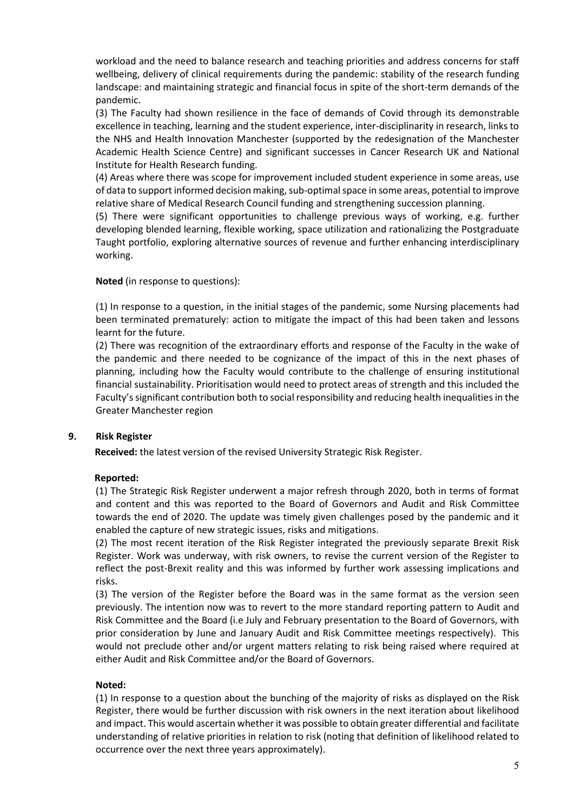workload and the need to balance research and teaching priorities and address concerns for staff wellbeing, delivery of clinical requirements during the pandemic: stability of the research funding landscape: and maintaining strategic and financial focus in spite of the short-term demands of the pandemic.

(3) The Faculty had shown resilience in the face of demands of Covid through its demonstrable excellence in teaching, learning and the student experience, inter-disciplinarity in research, links to the NHS and Health Innovation Manchester (supported by the redesignation of the Manchester Academic Health Science Centre) and significant successes in Cancer Research UK and National Institute for Health Research funding.

(4) Areas where there was scope for improvement included student experience in some areas, use of data to support informed decision making, sub-optimal space in some areas, potential to improve relative share of Medical Research Council funding and strengthening succession planning.

(5) There were significant opportunities to challenge previous ways of working, e.g. further developing blended learning, flexible working, space utilization and rationalizing the Postgraduate Taught portfolio, exploring alternative sources of revenue and further enhancing interdisciplinary working.

# **Noted** (in response to questions):

(1) In response to a question, in the initial stages of the pandemic, some Nursing placements had been terminated prematurely: action to mitigate the impact of this had been taken and lessons learnt for the future.

(2) There was recognition of the extraordinary efforts and response of the Faculty in the wake of the pandemic and there needed to be cognizance of the impact of this in the next phases of planning, including how the Faculty would contribute to the challenge of ensuring institutional financial sustainability. Prioritisation would need to protect areas of strength and this included the Faculty's significant contribution both to social responsibility and reducing health inequalities in the Greater Manchester region

## **9. Risk Register**

 **Received:** the latest version of the revised University Strategic Risk Register.

## **Reported:**

(1) The Strategic Risk Register underwent a major refresh through 2020, both in terms of format and content and this was reported to the Board of Governors and Audit and Risk Committee towards the end of 2020. The update was timely given challenges posed by the pandemic and it enabled the capture of new strategic issues, risks and mitigations.

(2) The most recent iteration of the Risk Register integrated the previously separate Brexit Risk Register. Work was underway, with risk owners, to revise the current version of the Register to reflect the post-Brexit reality and this was informed by further work assessing implications and risks.

(3) The version of the Register before the Board was in the same format as the version seen previously. The intention now was to revert to the more standard reporting pattern to Audit and Risk Committee and the Board (i.e July and February presentation to the Board of Governors, with prior consideration by June and January Audit and Risk Committee meetings respectively). This would not preclude other and/or urgent matters relating to risk being raised where required at either Audit and Risk Committee and/or the Board of Governors.

## **Noted:**

(1) In response to a question about the bunching of the majority of risks as displayed on the Risk Register, there would be further discussion with risk owners in the next iteration about likelihood and impact. This would ascertain whether it was possible to obtain greater differential and facilitate understanding of relative priorities in relation to risk (noting that definition of likelihood related to occurrence over the next three years approximately).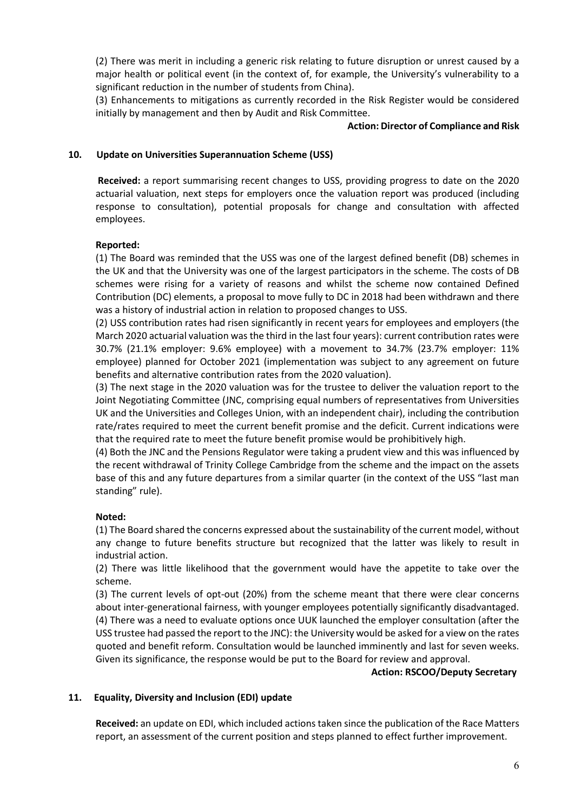(2) There was merit in including a generic risk relating to future disruption or unrest caused by a major health or political event (in the context of, for example, the University's vulnerability to a significant reduction in the number of students from China).

(3) Enhancements to mitigations as currently recorded in the Risk Register would be considered initially by management and then by Audit and Risk Committee.

#### **Action: Director of Compliance and Risk**

## **10. Update on Universities Superannuation Scheme (USS)**

**Received:** a report summarising recent changes to USS, providing progress to date on the 2020 actuarial valuation, next steps for employers once the valuation report was produced (including response to consultation), potential proposals for change and consultation with affected employees.

## **Reported:**

(1) The Board was reminded that the USS was one of the largest defined benefit (DB) schemes in the UK and that the University was one of the largest participators in the scheme. The costs of DB schemes were rising for a variety of reasons and whilst the scheme now contained Defined Contribution (DC) elements, a proposal to move fully to DC in 2018 had been withdrawn and there was a history of industrial action in relation to proposed changes to USS.

(2) USS contribution rates had risen significantly in recent years for employees and employers (the March 2020 actuarial valuation was the third in the last four years): current contribution rates were 30.7% (21.1% employer: 9.6% employee) with a movement to 34.7% (23.7% employer: 11% employee) planned for October 2021 (implementation was subject to any agreement on future benefits and alternative contribution rates from the 2020 valuation).

(3) The next stage in the 2020 valuation was for the trustee to deliver the valuation report to the Joint Negotiating Committee (JNC, comprising equal numbers of representatives from Universities UK and the Universities and Colleges Union, with an independent chair), including the contribution rate/rates required to meet the current benefit promise and the deficit. Current indications were that the required rate to meet the future benefit promise would be prohibitively high.

(4) Both the JNC and the Pensions Regulator were taking a prudent view and this was influenced by the recent withdrawal of Trinity College Cambridge from the scheme and the impact on the assets base of this and any future departures from a similar quarter (in the context of the USS "last man standing" rule).

# **Noted:**

(1) The Board shared the concerns expressed about the sustainability of the current model, without any change to future benefits structure but recognized that the latter was likely to result in industrial action.

(2) There was little likelihood that the government would have the appetite to take over the scheme.

(3) The current levels of opt-out (20%) from the scheme meant that there were clear concerns about inter-generational fairness, with younger employees potentially significantly disadvantaged. (4) There was a need to evaluate options once UUK launched the employer consultation (after the USS trustee had passed the report to the JNC): the University would be asked for a view on the rates quoted and benefit reform. Consultation would be launched imminently and last for seven weeks. Given its significance, the response would be put to the Board for review and approval.

## **Action: RSCOO/Deputy Secretary**

# **11. Equality, Diversity and Inclusion (EDI) update**

**Received:** an update on EDI, which included actions taken since the publication of the Race Matters report, an assessment of the current position and steps planned to effect further improvement.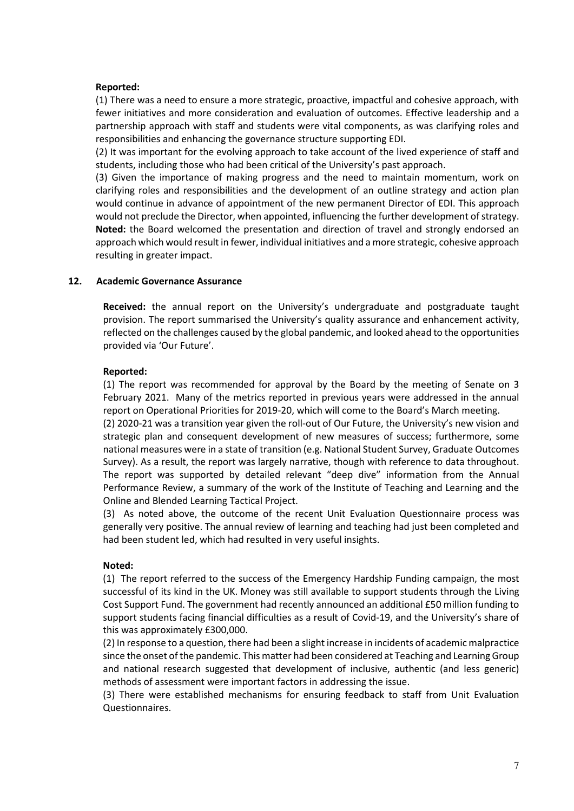## **Reported:**

(1) There was a need to ensure a more strategic, proactive, impactful and cohesive approach, with fewer initiatives and more consideration and evaluation of outcomes. Effective leadership and a partnership approach with staff and students were vital components, as was clarifying roles and responsibilities and enhancing the governance structure supporting EDI.

(2) It was important for the evolving approach to take account of the lived experience of staff and students, including those who had been critical of the University's past approach.

(3) Given the importance of making progress and the need to maintain momentum, work on clarifying roles and responsibilities and the development of an outline strategy and action plan would continue in advance of appointment of the new permanent Director of EDI. This approach would not preclude the Director, when appointed, influencing the further development of strategy. **Noted:** the Board welcomed the presentation and direction of travel and strongly endorsed an approach which would result in fewer, individual initiatives and a more strategic, cohesive approach resulting in greater impact.

## **12. Academic Governance Assurance**

**Received:** the annual report on the University's undergraduate and postgraduate taught provision. The report summarised the University's quality assurance and enhancement activity, reflected on the challenges caused by the global pandemic, and looked ahead to the opportunities provided via 'Our Future'.

## **Reported:**

(1) The report was recommended for approval by the Board by the meeting of Senate on 3 February 2021. Many of the metrics reported in previous years were addressed in the annual report on Operational Priorities for 2019-20, which will come to the Board's March meeting.

(2) 2020-21 was a transition year given the roll-out of Our Future, the University's new vision and strategic plan and consequent development of new measures of success; furthermore, some national measures were in a state of transition (e.g. National Student Survey, Graduate Outcomes Survey). As a result, the report was largely narrative, though with reference to data throughout. The report was supported by detailed relevant "deep dive" information from the Annual Performance Review, a summary of the work of the Institute of Teaching and Learning and the Online and Blended Learning Tactical Project.

(3) As noted above, the outcome of the recent Unit Evaluation Questionnaire process was generally very positive. The annual review of learning and teaching had just been completed and had been student led, which had resulted in very useful insights.

## **Noted:**

(1) The report referred to the success of the Emergency Hardship Funding campaign, the most successful of its kind in the UK. Money was still available to support students through the Living Cost Support Fund. The government had recently announced an additional £50 million funding to support students facing financial difficulties as a result of Covid-19, and the University's share of this was approximately £300,000.

(2) In response to a question, there had been a slight increase in incidents of academic malpractice since the onset of the pandemic. This matter had been considered at Teaching and Learning Group and national research suggested that development of inclusive, authentic (and less generic) methods of assessment were important factors in addressing the issue.

(3) There were established mechanisms for ensuring feedback to staff from Unit Evaluation Questionnaires.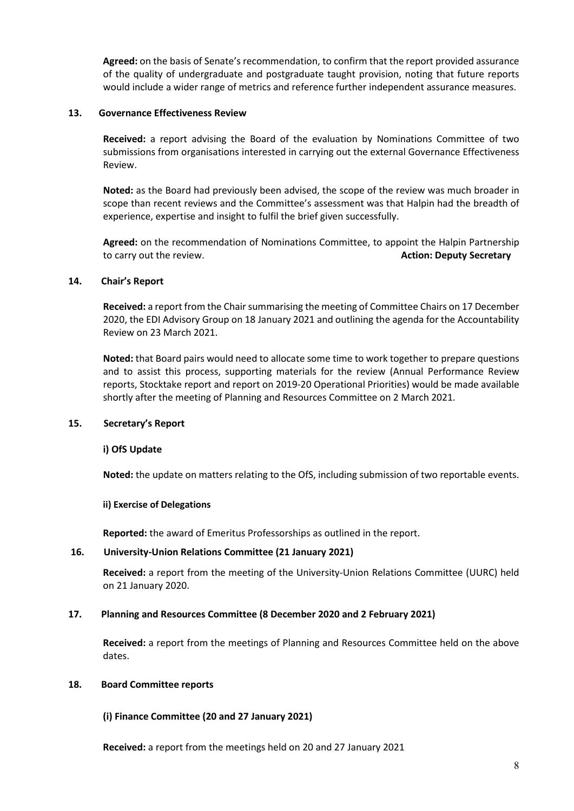**Agreed:** on the basis of Senate's recommendation, to confirm that the report provided assurance of the quality of undergraduate and postgraduate taught provision, noting that future reports would include a wider range of metrics and reference further independent assurance measures.

## **13. Governance Effectiveness Review**

**Received:** a report advising the Board of the evaluation by Nominations Committee of two submissions from organisations interested in carrying out the external Governance Effectiveness Review.

**Noted:** as the Board had previously been advised, the scope of the review was much broader in scope than recent reviews and the Committee's assessment was that Halpin had the breadth of experience, expertise and insight to fulfil the brief given successfully.

**Agreed:** on the recommendation of Nominations Committee, to appoint the Halpin Partnership to carry out the review. **Action: Deputy Secretary**

#### **14. Chair's Report**

**Received:** a report from the Chair summarising the meeting of Committee Chairs on 17 December 2020, the EDI Advisory Group on 18 January 2021 and outlining the agenda for the Accountability Review on 23 March 2021.

**Noted:** that Board pairs would need to allocate some time to work together to prepare questions and to assist this process, supporting materials for the review (Annual Performance Review reports, Stocktake report and report on 2019-20 Operational Priorities) would be made available shortly after the meeting of Planning and Resources Committee on 2 March 2021.

#### **15. Secretary's Report**

#### **i) OfS Update**

**Noted:** the update on matters relating to the OfS, including submission of two reportable events.

#### **ii) Exercise of Delegations**

**Reported:** the award of Emeritus Professorships as outlined in the report.

#### **16. University-Union Relations Committee (21 January 2021)**

**Received:** a report from the meeting of the University-Union Relations Committee (UURC) held on 21 January 2020.

#### **17. Planning and Resources Committee (8 December 2020 and 2 February 2021)**

**Received:** a report from the meetings of Planning and Resources Committee held on the above dates.

#### **18. Board Committee reports**

## **(i) Finance Committee (20 and 27 January 2021)**

**Received:** a report from the meetings held on 20 and 27 January 2021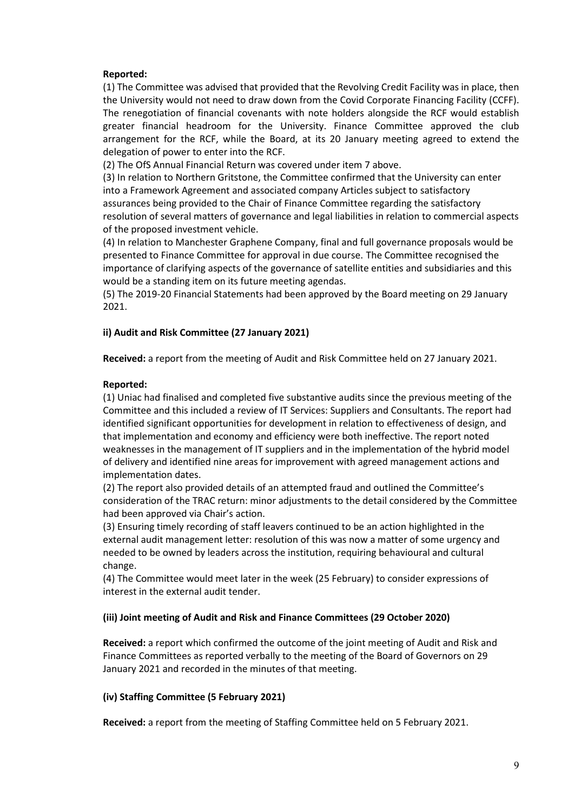## **Reported:**

(1) The Committee was advised that provided that the Revolving Credit Facility was in place, then the University would not need to draw down from the Covid Corporate Financing Facility (CCFF). The renegotiation of financial covenants with note holders alongside the RCF would establish greater financial headroom for the University. Finance Committee approved the club arrangement for the RCF, while the Board, at its 20 January meeting agreed to extend the delegation of power to enter into the RCF.

(2) The OfS Annual Financial Return was covered under item 7 above.

(3) In relation to Northern Gritstone, the Committee confirmed that the University can enter into a Framework Agreement and associated company Articles subject to satisfactory assurances being provided to the Chair of Finance Committee regarding the satisfactory resolution of several matters of governance and legal liabilities in relation to commercial aspects of the proposed investment vehicle.

(4) In relation to Manchester Graphene Company, final and full governance proposals would be presented to Finance Committee for approval in due course. The Committee recognised the importance of clarifying aspects of the governance of satellite entities and subsidiaries and this would be a standing item on its future meeting agendas.

(5) The 2019-20 Financial Statements had been approved by the Board meeting on 29 January 2021.

#### **ii) Audit and Risk Committee (27 January 2021)**

**Received:** a report from the meeting of Audit and Risk Committee held on 27 January 2021.

#### **Reported:**

(1) Uniac had finalised and completed five substantive audits since the previous meeting of the Committee and this included a review of IT Services: Suppliers and Consultants. The report had identified significant opportunities for development in relation to effectiveness of design, and that implementation and economy and efficiency were both ineffective. The report noted weaknesses in the management of IT suppliers and in the implementation of the hybrid model of delivery and identified nine areas for improvement with agreed management actions and implementation dates.

(2) The report also provided details of an attempted fraud and outlined the Committee's consideration of the TRAC return: minor adjustments to the detail considered by the Committee had been approved via Chair's action.

(3) Ensuring timely recording of staff leavers continued to be an action highlighted in the external audit management letter: resolution of this was now a matter of some urgency and needed to be owned by leaders across the institution, requiring behavioural and cultural change.

(4) The Committee would meet later in the week (25 February) to consider expressions of interest in the external audit tender.

#### **(iii) Joint meeting of Audit and Risk and Finance Committees (29 October 2020)**

**Received:** a report which confirmed the outcome of the joint meeting of Audit and Risk and Finance Committees as reported verbally to the meeting of the Board of Governors on 29 January 2021 and recorded in the minutes of that meeting.

#### **(iv) Staffing Committee (5 February 2021)**

**Received:** a report from the meeting of Staffing Committee held on 5 February 2021.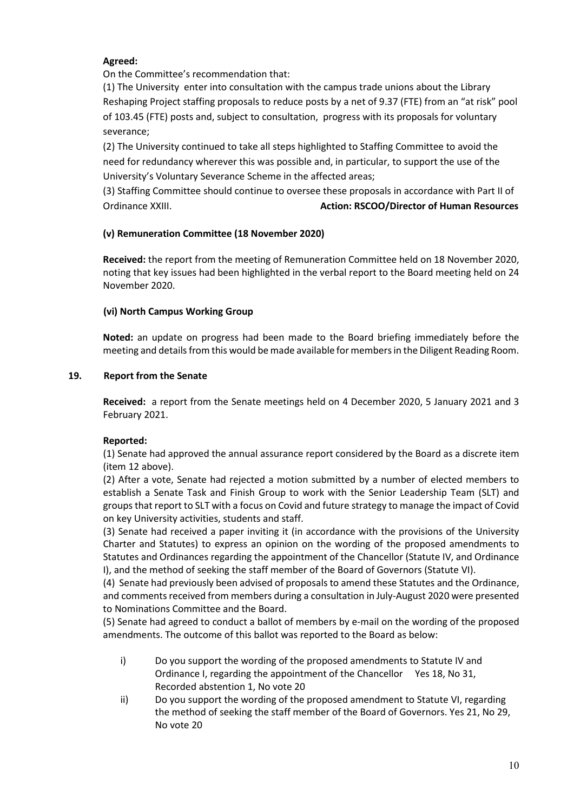# **Agreed:**

On the Committee's recommendation that:

(1) The University enter into consultation with the campus trade unions about the Library Reshaping Project staffing proposals to reduce posts by a net of 9.37 (FTE) from an "at risk" pool of 103.45 (FTE) posts and, subject to consultation, progress with its proposals for voluntary severance;

(2) The University continued to take all steps highlighted to Staffing Committee to avoid the need for redundancy wherever this was possible and, in particular, to support the use of the University's Voluntary Severance Scheme in the affected areas;

(3) Staffing Committee should continue to oversee these proposals in accordance with Part II of Ordinance XXIII. **Action: RSCOO/Director of Human Resources**

# **(v) Remuneration Committee (18 November 2020)**

**Received:** the report from the meeting of Remuneration Committee held on 18 November 2020, noting that key issues had been highlighted in the verbal report to the Board meeting held on 24 November 2020.

# **(vi) North Campus Working Group**

**Noted:** an update on progress had been made to the Board briefing immediately before the meeting and details from this would be made available for members in the Diligent Reading Room.

# **19. Report from the Senate**

**Received:** a report from the Senate meetings held on 4 December 2020, 5 January 2021 and 3 February 2021.

# **Reported:**

(1) Senate had approved the annual assurance report considered by the Board as a discrete item (item 12 above).

(2) After a vote, Senate had rejected a motion submitted by a number of elected members to establish a Senate Task and Finish Group to work with the Senior Leadership Team (SLT) and groups that report to SLT with a focus on Covid and future strategy to manage the impact of Covid on key University activities, students and staff.

(3) Senate had received a paper inviting it (in accordance with the provisions of the University Charter and Statutes) to express an opinion on the wording of the proposed amendments to Statutes and Ordinances regarding the appointment of the Chancellor (Statute IV, and Ordinance I), and the method of seeking the staff member of the Board of Governors (Statute VI).

(4) Senate had previously been advised of proposals to amend these Statutes and the Ordinance, and comments received from members during a consultation in July-August 2020 were presented to Nominations Committee and the Board.

(5) Senate had agreed to conduct a ballot of members by e-mail on the wording of the proposed amendments. The outcome of this ballot was reported to the Board as below:

- i) Do you support the wording of the proposed amendments to Statute IV and Ordinance I, regarding the appointment of the Chancellor Yes 18, No 31, Recorded abstention 1, No vote 20
- ii) Do you support the wording of the proposed amendment to Statute VI, regarding the method of seeking the staff member of the Board of Governors. Yes 21, No 29, No vote 20